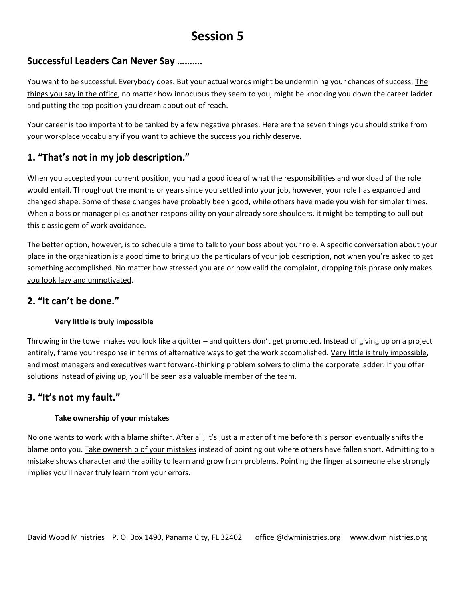# **Session 5**

### **Successful Leaders Can Never Say ……….**

You want to be successful. Everybody does. But your actual words might be undermining your chances of success. The things you say in the office, no matter how innocuous they seem to you, might be knocking you down the career ladder and putting the top position you dream about out of reach.

Your career is too important to be tanked by a few negative phrases. Here are the seven things you should strike from your workplace vocabulary if you want to achieve the success you richly deserve.

# **1. "That's not in my job description."**

When you accepted your current position, you had a good idea of what the responsibilities and workload of the role would entail. Throughout the months or years since you settled into your job, however, your role has expanded and changed shape. Some of these changes have probably been good, while others have made you wish for simpler times. When a boss or manager piles another responsibility on your already sore shoulders, it might be tempting to pull out this classic gem of work avoidance.

The better option, however, is to schedule a time to talk to your boss about your role. A specific conversation about your place in the organization is a good time to bring up the particulars of your job description, not when you're asked to get something accomplished. No matter how stressed you are or how valid the complaint, dropping this phrase only makes you look lazy and unmotivated.

#### **2. "It can't be done."**

#### **Very little is truly impossible**

Throwing in the towel makes you look like a quitter – and quitters don't get promoted. Instead of giving up on a project entirely, frame your response in terms of alternative ways to get the work accomplished. Very little is truly impossible, and most managers and executives want forward-thinking problem solvers to climb the corporate ladder. If you offer solutions instead of giving up, you'll be seen as a valuable member of the team.

## **3. "It's not my fault."**

#### **Take ownership of your mistakes**

No one wants to work with a blame shifter. After all, it's just a matter of time before this person eventually shifts the blame onto you. Take ownership of your mistakes instead of pointing out where others have fallen short. Admitting to a mistake shows character and the ability to learn and grow from problems. Pointing the finger at someone else strongly implies you'll never truly learn from your errors.